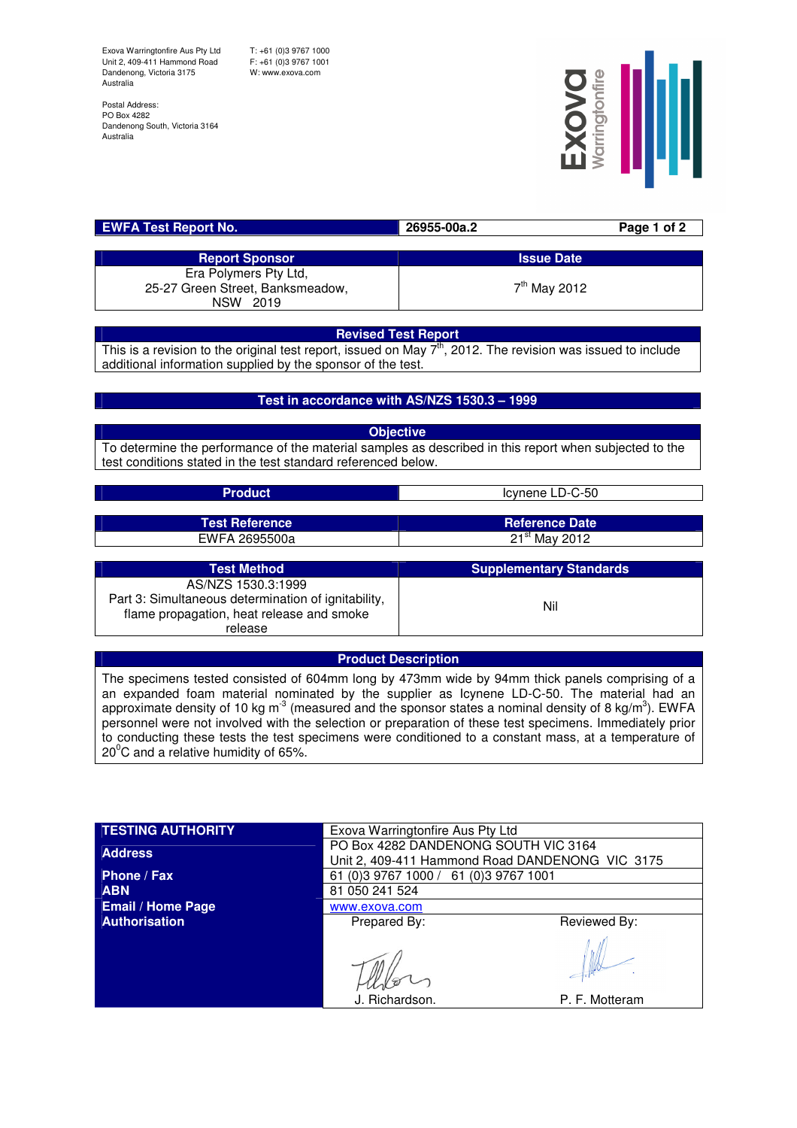Exova Warringtonfire Aus Pty Ltd Unit 2, 409-411 Hammond Road Dandenong, Victoria 3175 Australia

T: +61 (0)3 9767 1000 F: +61 (0)3 9767 1001 W: www.exova.com

flame propagation, heat release and smoke release

Postal Address: PO Box 4282 Dandenong South, Victoria 3164 Australia



| <b>EWFA Test Report No.</b>      | 26955-00a.2       | Page 1 of 2 |
|----------------------------------|-------------------|-------------|
|                                  |                   |             |
| <b>Report Sponsor</b>            | <b>Issue Date</b> |             |
| Era Polymers Pty Ltd,            |                   |             |
| 25-27 Green Street, Banksmeadow, | $7th$ May 2012    |             |
| NSW 2019                         |                   |             |

### **Revised Test Report**

This is a revision to the original test report, issued on May  $7<sup>th</sup>$ , 2012. The revision was issued to include additional information supplied by the sponsor of the test.

## **Test in accordance with AS/NZS 1530.3 – 1999**

**Objective** To determine the performance of the material samples as described in this report when subjected to the test conditions stated in the test standard referenced below.

| <b>Product</b>                                      | Icynene LD-C-50                |
|-----------------------------------------------------|--------------------------------|
|                                                     |                                |
| <b>Test Reference</b>                               | <b>Reference Date</b>          |
| EWFA 2695500a                                       | $21st$ May 2012                |
|                                                     |                                |
| <b>Test Method</b>                                  | <b>Supplementary Standards</b> |
| AS/NZS 1530.3:1999                                  |                                |
| Part 3: Simultaneous determination of ignitability, | <b>N.I.I.</b>                  |

# **Product Description**

Nil

The specimens tested consisted of 604mm long by 473mm wide by 94mm thick panels comprising of a an expanded foam material nominated by the supplier as Icynene LD-C-50. The material had an approximate density of 10 kg m<sup>-3</sup> (measured and the sponsor states a nominal density of 8 kg/m<sup>3</sup>). EWFA personnel were not involved with the selection or preparation of these test specimens. Immediately prior to conducting these tests the test specimens were conditioned to a constant mass, at a temperature of  $20^{\circ}$ C and a relative humidity of 65%.

| <b>TESTING AUTHORITY</b> | Exova Warringtonfire Aus Pty Ltd                                                        |                |  |
|--------------------------|-----------------------------------------------------------------------------------------|----------------|--|
| <b>Address</b>           | PO Box 4282 DANDENONG SOUTH VIC 3164<br>Unit 2, 409-411 Hammond Road DANDENONG VIC 3175 |                |  |
| Phone / Fax              | 61 (0) 3 9767 1000 / 61 (0) 3 9767 1001                                                 |                |  |
| <b>ABN</b>               | 81 050 241 524                                                                          |                |  |
| <b>Email / Home Page</b> | www.exova.com                                                                           |                |  |
| <b>Authorisation</b>     | Prepared By:                                                                            | Reviewed By:   |  |
|                          | J. Richardson.                                                                          | P. F. Motteram |  |